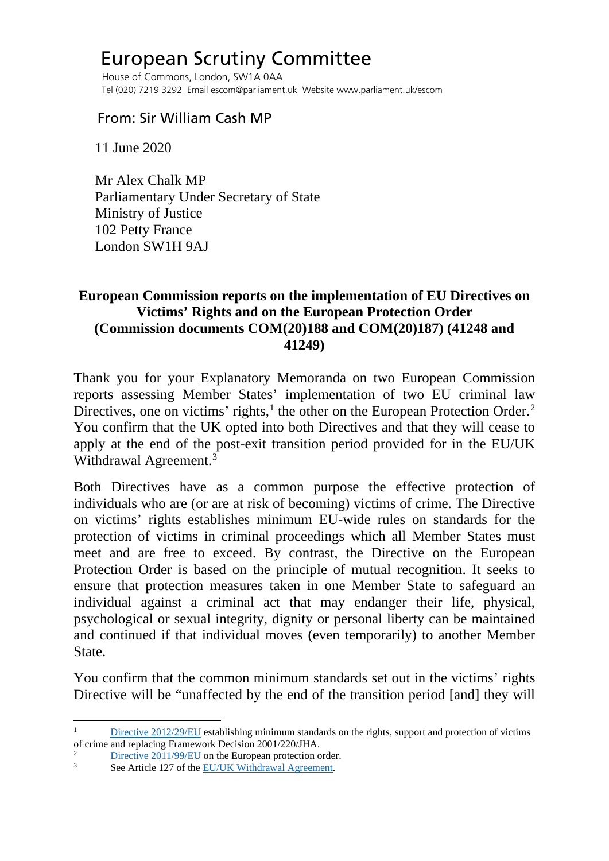## European Scrutiny Committee

 House of Commons, London, SW1A 0AA Tel (020) 7219 3292 Email escom@parliament.uk Website www.parliament.uk/escom

## From: Sir William Cash MP

11 June 2020

 Mr Alex Chalk MP Parliamentary Under Secretary of State Ministry of Justice 102 Petty France London SW1H 9AJ

## **European Commission reports on the implementation of EU Directives on Victims' Rights and on the European Protection Order (Commission documents COM(20)188 and COM(20)187) (41248 and 41249)**

Thank you for your Explanatory Memoranda on two European Commission reports assessing Member States' implementation of two EU criminal law Directives, one on victims' rights, $<sup>1</sup>$  $<sup>1</sup>$  $<sup>1</sup>$  the other on the European Protection Order.<sup>[2](#page-0-1)</sup></sup> You confirm that the UK opted into both Directives and that they will cease to apply at the end of the post-exit transition period provided for in the EU/UK Withdrawal Agreement.<sup>[3](#page-0-2)</sup>

Both Directives have as a common purpose the effective protection of individuals who are (or are at risk of becoming) victims of crime. The Directive on victims' rights establishes minimum EU-wide rules on standards for the protection of victims in criminal proceedings which all Member States must meet and are free to exceed. By contrast, the Directive on the European Protection Order is based on the principle of mutual recognition. It seeks to ensure that protection measures taken in one Member State to safeguard an individual against a criminal act that may endanger their life, physical, psychological or sexual integrity, dignity or personal liberty can be maintained and continued if that individual moves (even temporarily) to another Member State.

You confirm that the common minimum standards set out in the victims' rights Directive will be "unaffected by the end of the transition period [and] they will

<span id="page-0-0"></span>[Directive 2012/29/EU](https://eur-lex.europa.eu/legal-content/EN/TXT/PDF/?uri=CELEX:32012L0029&from=en) establishing minimum standards on the rights, support and protection of victims of crime and replacing Framework Decision 2001/220/JHA.

<span id="page-0-1"></span> $\frac{2}{3}$  [Directive 2011/99/EU](https://eur-lex.europa.eu/legal-content/EN/TXT/PDF/?uri=CELEX:32011L0099&from=EN) on the European protection order.

<span id="page-0-2"></span>See Article 127 of the EU/UK Withdrawal Agreement.